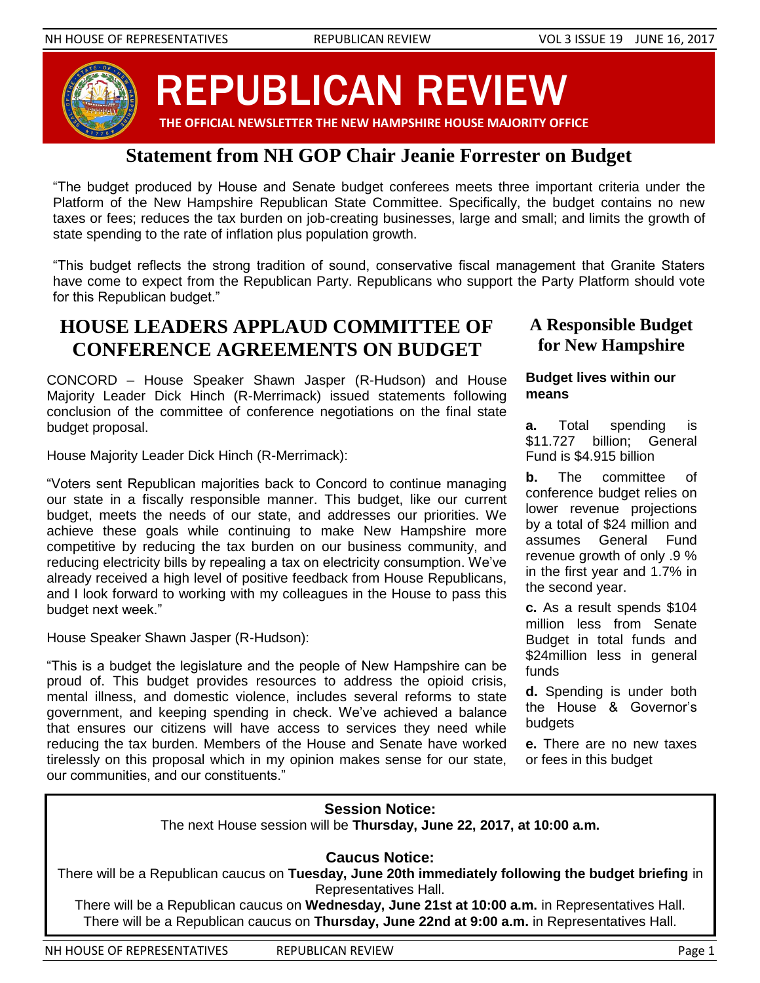

REPUBLICAN REVIEW

#### **THE OFFICIAL NEWSLETTER THE NEW HAMPSHIRE HOUSE MAJORITY OFFICE**

### **Statement from NH GOP Chair Jeanie Forrester on Budget**

"The budget produced by House and Senate budget conferees meets three important criteria under the Platform of the New Hampshire Republican State Committee. Specifically, the budget contains no new taxes or fees; reduces the tax burden on job-creating businesses, large and small; and limits the growth of state spending to the rate of inflation plus population growth.

"This budget reflects the strong tradition of sound, conservative fiscal management that Granite Staters have come to expect from the Republican Party. Republicans who support the Party Platform should vote for this Republican budget."

### **HOUSE LEADERS APPLAUD COMMITTEE OF CONFERENCE AGREEMENTS ON BUDGET**

CONCORD – House Speaker Shawn Jasper (R-Hudson) and House Majority Leader Dick Hinch (R-Merrimack) issued statements following conclusion of the committee of conference negotiations on the final state budget proposal.

House Majority Leader Dick Hinch (R-Merrimack):

"Voters sent Republican majorities back to Concord to continue managing our state in a fiscally responsible manner. This budget, like our current budget, meets the needs of our state, and addresses our priorities. We achieve these goals while continuing to make New Hampshire more competitive by reducing the tax burden on our business community, and reducing electricity bills by repealing a tax on electricity consumption. We've already received a high level of positive feedback from House Republicans, and I look forward to working with my colleagues in the House to pass this budget next week."

House Speaker Shawn Jasper (R-Hudson):

"This is a budget the legislature and the people of New Hampshire can be proud of. This budget provides resources to address the opioid crisis, mental illness, and domestic violence, includes several reforms to state government, and keeping spending in check. We've achieved a balance that ensures our citizens will have access to services they need while reducing the tax burden. Members of the House and Senate have worked tirelessly on this proposal which in my opinion makes sense for our state, our communities, and our constituents."

**A Responsible Budget for New Hampshire**

#### **Budget lives within our means**

**a.** Total spending is \$11.727 billion: General Fund is \$4.915 billion

**b.** The committee of conference budget relies on lower revenue projections by a total of \$24 million and assumes General Fund revenue growth of only .9 % in the first year and 1.7% in the second year.

**c.** As a result spends \$104 million less from Senate Budget in total funds and \$24million less in general funds

**d.** Spending is under both the House & Governor's budgets

**e.** There are no new taxes or fees in this budget

# **Session Notice:**

The next House session will be **Thursday, June 22, 2017, at 10:00 a.m.**

**Caucus Notice:** 

There will be a Republican caucus on **Tuesday, June 20th immediately following the budget briefing** in Representatives Hall.

There will be a Republican caucus on **Wednesday, June 21st at 10:00 a.m.** in Representatives Hall. There will be a Republican caucus on **Thursday, June 22nd at 9:00 a.m.** in Representatives Hall.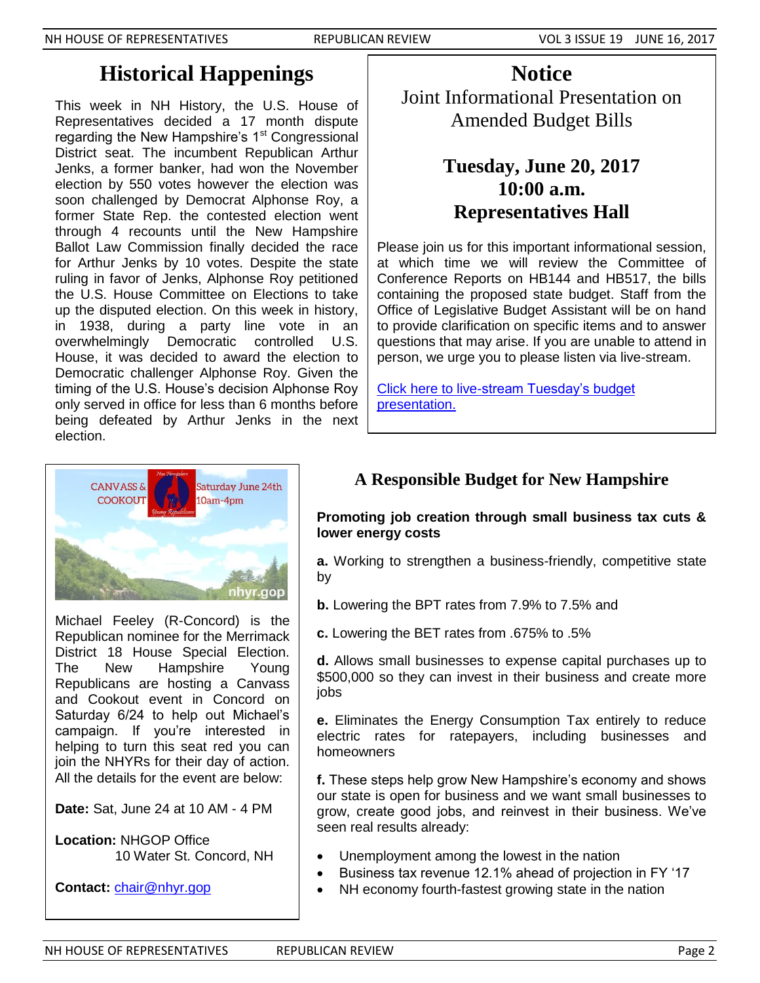# **Historical Happenings**

This week in NH History, the U.S. House of Representatives decided a 17 month dispute regarding the New Hampshire's  $1<sup>st</sup>$  Congressional District seat. The incumbent Republican Arthur Jenks, a former banker, had won the November election by 550 votes however the election was soon challenged by Democrat Alphonse Roy, a former State Rep. the contested election went through 4 recounts until the New Hampshire Ballot Law Commission finally decided the race for Arthur Jenks by 10 votes. Despite the state ruling in favor of Jenks, Alphonse Roy petitioned the U.S. House Committee on Elections to take up the disputed election. On this week in history, in 1938, during a party line vote in an overwhelmingly Democratic controlled U.S. House, it was decided to award the election to Democratic challenger Alphonse Roy. Given the timing of the U.S. House's decision Alphonse Roy only served in office for less than 6 months before being defeated by Arthur Jenks in the next election.

**Notice** Joint Informational Presentation on Amended Budget Bills

# **Tuesday, June 20, 2017 10:00 a.m. Representatives Hall**

Please join us for this important informational session, at which time we will review the Committee of Conference Reports on HB144 and HB517, the bills containing the proposed state budget. Staff from the Office of Legislative Budget Assistant will be on hand to provide clarification on specific items and to answer questions that may arise. If you are unable to attend in person, we urge you to please listen via live-stream.

[Click here to live-stream Tuesday's budget](http://sg001-harmony.sliq.net/00288/Harmony/en/PowerBrowser/PowerBrowserV2/20170620/-1/14234)  [presentation.](http://sg001-harmony.sliq.net/00288/Harmony/en/PowerBrowser/PowerBrowserV2/20170620/-1/14234)



Michael Feeley (R-Concord) is the Republican nominee for the Merrimack District 18 House Special Election. The New Hampshire Young Republicans are hosting a Canvass and Cookout event in Concord on Saturday 6/24 to help out Michael's campaign. If you're interested in helping to turn this seat red you can join the NHYRs for their day of action. All the details for the event are below:

**Date:** Sat, June 24 at 10 AM - 4 PM

**Location:** NHGOP Office 10 Water St. Concord, NH

**Contact:** [chair@nhyr.gop](mailto:chair@nhyr.gop)

### **A Responsible Budget for New Hampshire**

### **Promoting job creation through small business tax cuts & lower energy costs**

**a.** Working to strengthen a business-friendly, competitive state by

**b.** Lowering the BPT rates from 7.9% to 7.5% and

**c.** Lowering the BET rates from .675% to .5%

**d.** Allows small businesses to expense capital purchases up to \$500,000 so they can invest in their business and create more jobs

**e.** Eliminates the Energy Consumption Tax entirely to reduce electric rates for ratepayers, including businesses and homeowners

**f.** These steps help grow New Hampshire's economy and shows our state is open for business and we want small businesses to grow, create good jobs, and reinvest in their business. We've seen real results already:

- Unemployment among the lowest in the nation
- Business tax revenue 12.1% ahead of projection in FY '17
- NH economy fourth-fastest growing state in the nation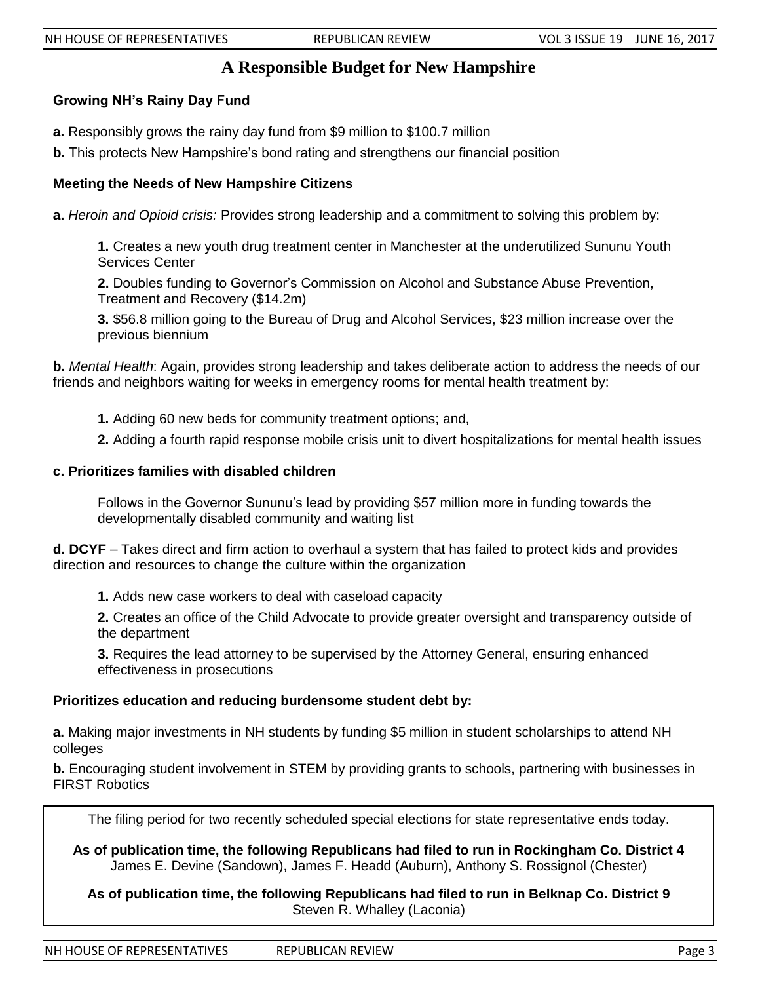### **A Responsible Budget for New Hampshire**

#### **Growing NH's Rainy Day Fund**

- **a.** Responsibly grows the rainy day fund from \$9 million to \$100.7 million
- **b.** This protects New Hampshire's bond rating and strengthens our financial position

#### **Meeting the Needs of New Hampshire Citizens**

**a.** *Heroin and Opioid crisis:* Provides strong leadership and a commitment to solving this problem by:

**1.** Creates a new youth drug treatment center in Manchester at the underutilized Sununu Youth Services Center

**2.** Doubles funding to Governor's Commission on Alcohol and Substance Abuse Prevention, Treatment and Recovery (\$14.2m)

**3.** \$56.8 million going to the Bureau of Drug and Alcohol Services, \$23 million increase over the previous biennium

**b.** *Mental Health*: Again, provides strong leadership and takes deliberate action to address the needs of our friends and neighbors waiting for weeks in emergency rooms for mental health treatment by:

- **1.** Adding 60 new beds for community treatment options; and,
- **2.** Adding a fourth rapid response mobile crisis unit to divert hospitalizations for mental health issues

#### **c. Prioritizes families with disabled children**

Follows in the Governor Sununu's lead by providing \$57 million more in funding towards the developmentally disabled community and waiting list

**d. DCYF** – Takes direct and firm action to overhaul a system that has failed to protect kids and provides direction and resources to change the culture within the organization

**1.** Adds new case workers to deal with caseload capacity

**2.** Creates an office of the Child Advocate to provide greater oversight and transparency outside of the department

**3.** Requires the lead attorney to be supervised by the Attorney General, ensuring enhanced effectiveness in prosecutions

#### **Prioritizes education and reducing burdensome student debt by:**

**a.** Making major investments in NH students by funding \$5 million in student scholarships to attend NH colleges

**b.** Encouraging student involvement in STEM by providing grants to schools, partnering with businesses in FIRST Robotics

The filing period for two recently scheduled special elections for state representative ends today.

**As of publication time, the following Republicans had filed to run in Rockingham Co. District 4** James E. Devine (Sandown), James F. Headd (Auburn), Anthony S. Rossignol (Chester)

**As of publication time, the following Republicans had filed to run in Belknap Co. District 9** Steven R. Whalley (Laconia)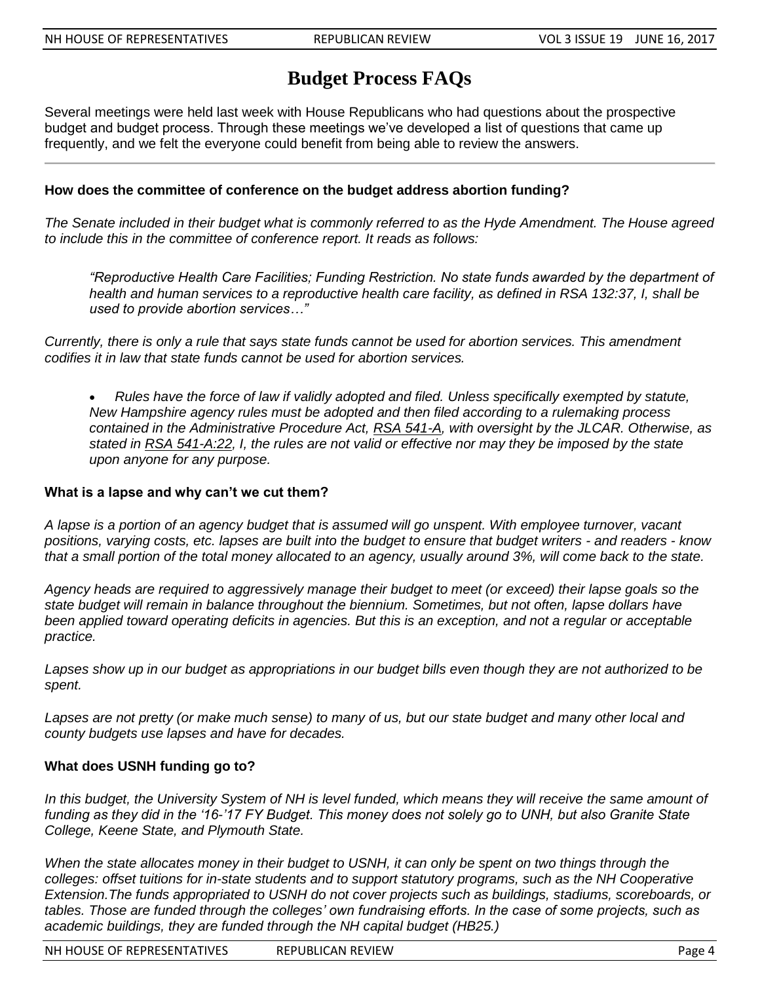## **Budget Process FAQs**

Several meetings were held last week with House Republicans who had questions about the prospective budget and budget process. Through these meetings we've developed a list of questions that came up frequently, and we felt the everyone could benefit from being able to review the answers.

#### **How does the committee of conference on the budget address abortion funding?**

*The Senate included in their budget what is commonly referred to as the Hyde Amendment. The House agreed to include this in the committee of conference report. It reads as follows:*

*"Reproductive Health Care Facilities; Funding Restriction. No state funds awarded by the department of health and human services to a reproductive health care facility, as defined in RSA 132:37, I, shall be used to provide abortion services…"*

*Currently, there is only a rule that says state funds cannot be used for abortion services. This amendment codifies it in law that state funds cannot be used for abortion services.*

 *Rules have the force of law if validly adopted and filed. Unless specifically exempted by statute, New Hampshire agency rules must be adopted and then filed according to a rulemaking process contained in the Administrative Procedure Act, [RSA 541-A,](http://www.gencourt.state.nh.us/rsa/html/NHTOC/NHTOC-LV-541-A.htm) with oversight by the JLCAR. Otherwise, as stated in [RSA 541-A:22,](http://www.gencourt.state.nh.us/rsa/html/LV/541-A/541-A-22.htm) I, the rules are not valid or effective nor may they be imposed by the state upon anyone for any purpose.*

#### **What is a lapse and why can't we cut them?**

*A lapse is a portion of an agency budget that is assumed will go unspent. With employee turnover, vacant positions, varying costs, etc. lapses are built into the budget to ensure that budget writers - and readers - know that a small portion of the total money allocated to an agency, usually around 3%, will come back to the state.*

*Agency heads are required to aggressively manage their budget to meet (or exceed) their lapse goals so the state budget will remain in balance throughout the biennium. Sometimes, but not often, lapse dollars have been applied toward operating deficits in agencies. But this is an exception, and not a regular or acceptable practice.*

*Lapses show up in our budget as appropriations in our budget bills even though they are not authorized to be spent.*

*Lapses are not pretty (or make much sense) to many of us, but our state budget and many other local and county budgets use lapses and have for decades.*

#### **What does USNH funding go to?**

In this budget, the University System of NH is level funded, which means they will receive the same amount of *funding as they did in the '16-'17 FY Budget. This money does not solely go to UNH, but also Granite State College, Keene State, and Plymouth State.*

*When the state allocates money in their budget to USNH, it can only be spent on two things through the*  colleges: offset tuitions for in-state students and to support statutory programs, such as the NH Cooperative *Extension.The funds appropriated to USNH do not cover projects such as buildings, stadiums, scoreboards, or tables. Those are funded through the colleges' own fundraising efforts. In the case of some projects, such as academic buildings, they are funded through the NH capital budget (HB25.)*

NH HOUSE OF REPRESENTATIVES REPUBLICAN REVIEW **REPUBLICAN REVIEW Page 4**